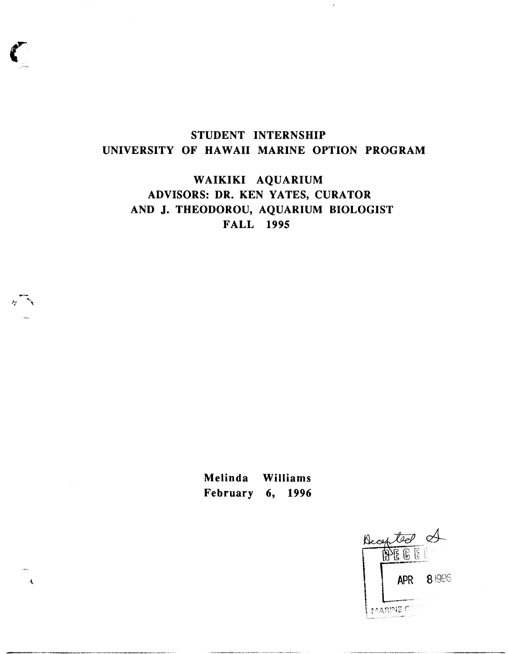## **STUDENT INTERNSHIP UNIVERSITY OF HAWAII MARINE OPTION PROGRAM**

 $\vec{\pmb{i}}$ 

**WAIKIKI AQUARIUM ADVISORS: DR. KEN YATES, CURATOR AND J. THEODOROU, AQUARIUM BIOLOGIST FALL 1995** 

> **Melinda Williams February 6, 1996**

 $\overline{\mathbf{A}}$ 

Decepted A **BEEE APR** 81996 PEARINE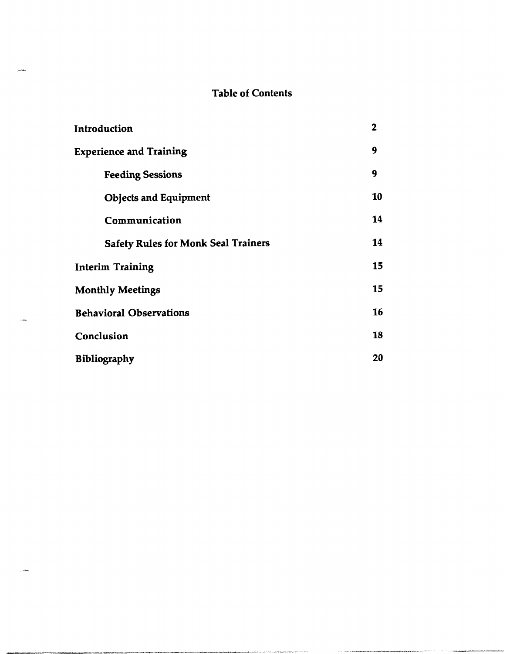### **Table of Contents**

| Introduction                               | $\mathbf 2$ |  |
|--------------------------------------------|-------------|--|
| <b>Experience and Training</b>             |             |  |
| <b>Feeding Sessions</b>                    | 9           |  |
| <b>Objects and Equipment</b>               | 10          |  |
| Communication                              | 14          |  |
| <b>Safety Rules for Monk Seal Trainers</b> | 14          |  |
| <b>Interim Training</b>                    | 15          |  |
| <b>Monthly Meetings</b>                    |             |  |
| <b>Behavioral Observations</b>             |             |  |
| Conclusion                                 | 18          |  |
| <b>Bibliography</b>                        |             |  |

وطلاب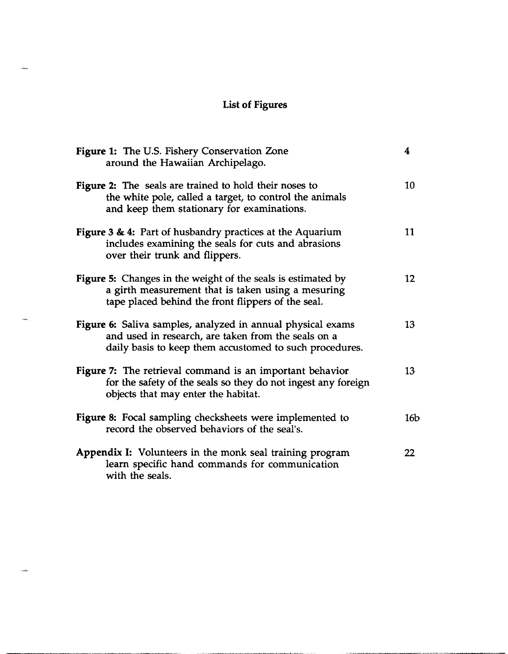# **List of Figures**

.<br>Sidoo

.<br>See

.<br>Sido

| Figure 1: The U.S. Fishery Conservation Zone<br>around the Hawaiian Archipelago.                                                                                                | 4               |
|---------------------------------------------------------------------------------------------------------------------------------------------------------------------------------|-----------------|
| <b>Figure 2:</b> The seals are trained to hold their noses to<br>the white pole, called a target, to control the animals<br>and keep them stationary for examinations.          | 10              |
| Figure 3 & 4: Part of husbandry practices at the Aquarium<br>includes examining the seals for cuts and abrasions<br>over their trunk and flippers.                              | 11              |
| <b>Figure 5:</b> Changes in the weight of the seals is estimated by<br>a girth measurement that is taken using a mesuring<br>tape placed behind the front flippers of the seal. | 12              |
| Figure 6: Saliva samples, analyzed in annual physical exams<br>and used in research, are taken from the seals on a<br>daily basis to keep them accustomed to such procedures.   | 13              |
| Figure 7: The retrieval command is an important behavior<br>for the safety of the seals so they do not ingest any foreign<br>objects that may enter the habitat.                | 13              |
| Figure 8: Focal sampling checksheets were implemented to<br>record the observed behaviors of the seal's.                                                                        | 16 <sub>b</sub> |
| <b>Appendix I:</b> Volunteers in the monk seal training program<br>learn specific hand commands for communication<br>with the seals.                                            | 22              |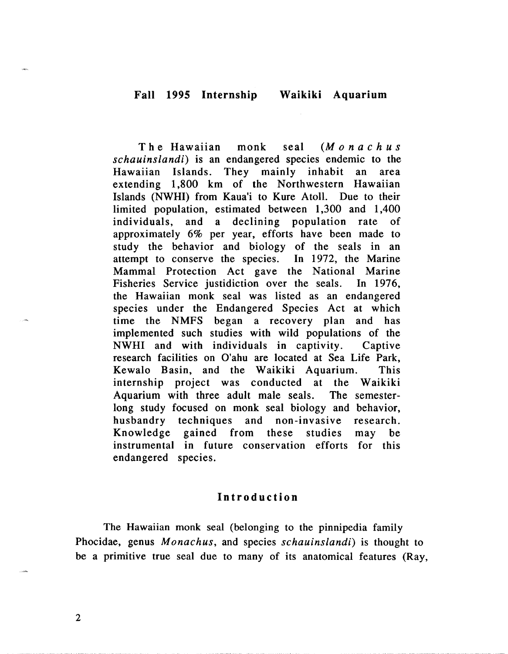T h e Hawaiian monk seal (M o n a **c** h u s schauinslandi) is an endangered species endemic to the Hawaiian Islands. They mainly inhabit an area extending 1,800 km of the Northwestern Hawaiian Islands (NWHI) from Kaua'i to Kure Atoll. Due to their limited population, estimated between 1,300 and 1,400 individuals, and a declining population rate of approximately 6% per year, efforts have been made to study the behavior and biology of the seals in an attempt to conserve the species. In 1972, the Marine Mammal Protection Act gave the National Marine Fisheries Service justidiction over the seals. In 1976, the Hawaiian monk seal was listed as an endangered species under the Endangered Species Act at which time the NMFS began a recovery plan and has implemented such studies with wild populations of the NWHI and with individuals in captivity. Captive research facilities on O'ahu are located at Sea Life Park, Kewalo Basin, and the Waikiki Aquarium. This internship project was conducted at the Waikiki Aquarium with three adult male seals. The semesterlong study focused on monk seal biology and behavior, husbandry techniques and non-invasive research. Knowledge gained from these studies may be instrumental in future conservation efforts for this endangered species.

#### Introduction

The Hawaiian monk seal (belonging to the pinnipedia family Phocidae, genus Monachus, and species schauinslandi) is thought to be a primitive true seal due to many of its anatomical features (Ray,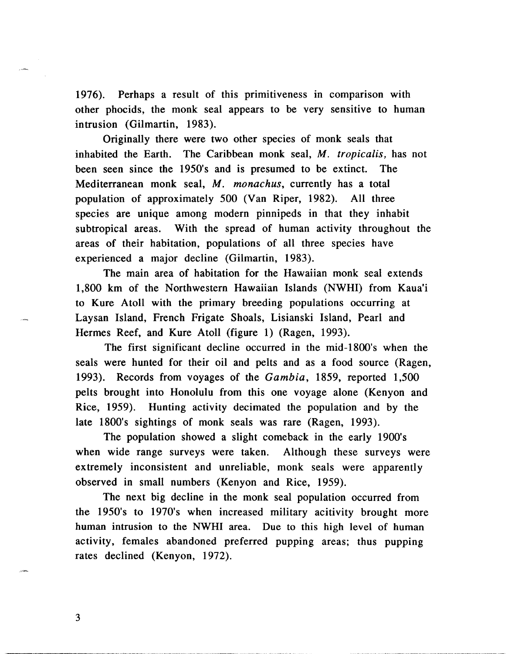1976). Perhaps a result of this primitiveness in comparison with other phocids, the monk seal appears to be very sensitive to human intrusion (Gilmartin, 1983).

Originally there were two other species of monk seals that inhabited the Earth. The Caribbean monk seal, M. tropicalis, has not been seen since the 1950's and is presumed to be extinct. The Mediterranean monk seal, M. monachus, currently has a total population of approximately 500 (Van Riper, 1982). All three species are unique among modern pinnipeds in that they inhabit subtropical areas. With the spread of human activity throughout the areas of their habitation, populations of all three species have experienced a major decline (Gilmartin, 1983).

The main area of habitation for the Hawaiian monk seal extends 1,800 km of the Northwestern Hawaiian Islands (NWHI) from Kaua'i to Kure Atoll with the primary breeding populations occurring at Laysan Island, French Frigate Shoals, Lisianski Island, Pearl and Hermes Reef, and Kure Atoll (figure 1) (Ragen, 1993).

The first significant decline occurred in the mid-1800's when the seals were hunted for their oil and pelts and as a food source (Ragen, 1993). Records from voyages of the Gambia, 1859, reported 1,500 pelts brought into Honolulu from this one voyage alone (Kenyon and Rice, 1959). Hunting activity decimated the population and by the late 1800's sightings of monk seals was rare (Ragen, 1993).

The population showed a slight comeback in the early 1900's when wide range surveys were taken. Although these surveys were extremely inconsistent and unreliable, monk seals were apparently observed in small numbers (Kenyon and Rice, 1959).

The next big decline in the monk seal population occurred from the 1950's to 1970's when increased military acitivity brought more human intrusion to the NWHI area. Due to this high level of human activity, females abandoned preferred pupping areas; thus pupping rates declined (Kenyon, 1972).

3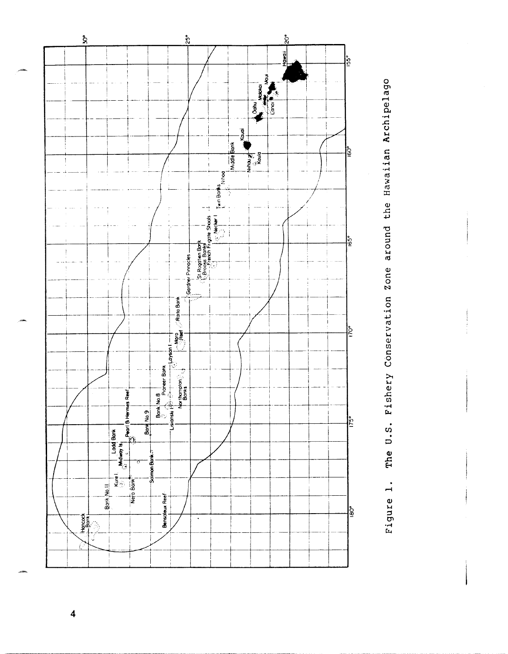



 $\overline{\mathbf{4}}$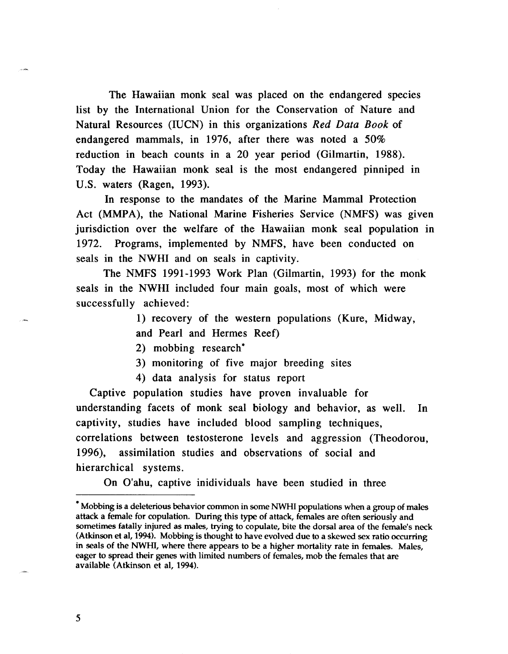The Hawaiian monk seal was placed on the endangered species list by the International Union for the Conservation of Nature and Natural Resources (IUCN) in this organizations Red Data Book of endangered mammals, in 1976, after there was noted a 50% reduction in beach counts in a 20 year period (Gilmartin, 1988). Today the Hawaiian monk seal is the most endangered pinniped in U.S. waters (Ragen, 1993).

In response to the mandates of the Marine Mammal Protection Act (MMPA), the National Marine Fisheries Service (NMFS) was given jurisdiction over the welfare of the Hawaiian monk seal population in 1972. Programs, implemented by NMFS, have been conducted on seals in the NWHI and on seals in captivity.

The NMFS 1991 -1993 Work Plan (Gilmartin, 1993) for the monk seals in the NWHI included four main goals, most of which were successfully achieved:

> 1) recovery of the western populations (Kure, Midway, and Pearl and Hermes Reef)

2) mobbing research'

3) monitoring of five major breeding sites

4) data analysis for status report

Captive population studies have proven invaluable for understanding facets of monk seal biology and behavior, as well. In captivity, studies have included blood sampling techniques, correlations between testosterone levels and aggression (Theodorou, 1996), assimilation studies and observations of social and hierarchical systems.

On O'ahu, captive inidividuals have been studied in three

<sup>&#</sup>x27; Mobbing is a deleterious behavior common in some NWHI populations when a group of males attack a female for copulation. During this type of attack, females are often seriously and sometimes fatally injured as males, trying to copulate, bite the dorsal area of the female's neck (Atkinson et al, **1994).** Mobbing is thought to have evolved due to a skewed **sex** ratio occurring in seals of the NWHI, where there appears to be a higher mortality rate in females. Males, eager to spread their genes with limited numbers of females, mob the females that are ~- available (Atkinson et al, **1994).**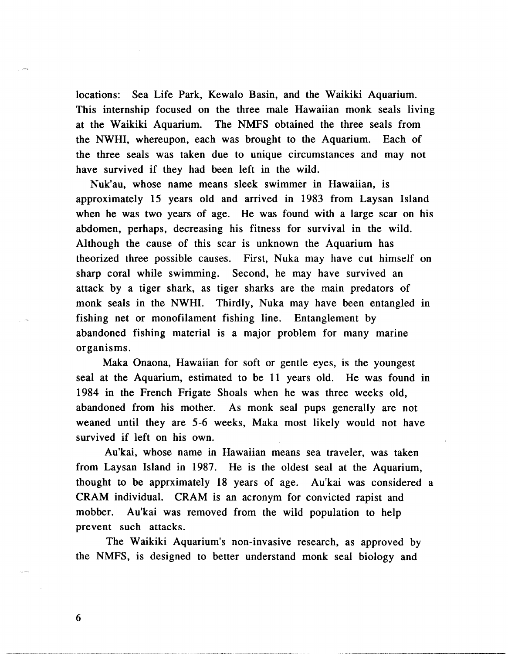locations: Sea Life Park, Kewalo Basin, and the Waikiki Aquarium. This internship focused on the three male Hawaiian monk seals living at the Waikiki Aquarium. The NMFS obtained the three seals from the NWHI, whereupon, each was brought to the Aquarium. Each of the three seals was taken due to unique circumstances and may not have survived if they had been left in the wild.

Nuk'au, whose name means sleek swimmer in Hawaiian, is approximately 15 years old and arrived in 1983 from Laysan Island when he was two years of age. He was found with a large scar on his abdomen, perhaps, decreasing his fitness for survival in the wild. Although the cause of this scar is unknown the Aquarium has theorized three possible causes. First, Nuka may have cut himself on sharp coral while swimming. Second, he may have survived an attack by a tiger shark, as tiger sharks are the main predators of monk seals in the NWHI. Thirdly, Nuka may have been entangled in fishing net or monofilament fishing line. Entanglement by abandoned fishing material is a major problem for many marine organisms.

Maka Onaona, Hawaiian for soft or gentle eyes, is the youngest seal at the Aquarium, estimated to be 11 years old. He was found in 1984 in the French Frigate Shoals when he was three weeks old, abandoned from his mother. As monk seal pups generally are not weaned until they are 5-6 weeks, Maka most likely would not have survived if left on his own.

Au'kai, whose name in Hawaiian means sea traveler, was taken from Laysan Island in 1987. He is the oldest seal at the Aquarium, thought to be apprximately 18 years of age. Au'kai was considered a CRAM individual. CRAM is an acronym for convicted rapist and mobber. Au'kai was removed from the wild population to help prevent such attacks.

The Waikiki Aquarium's non-invasive research, as approved by the NMFS, is designed to better understand monk seal biology and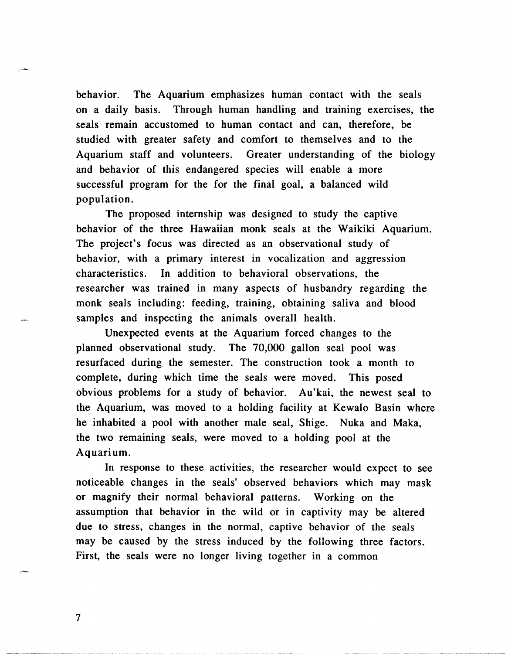behavior. The Aquarium emphasizes human contact with the seals on a daily basis. Through human handling and training exercises, the seals remain accustomed to human contact and can, therefore, be studied with greater safety and comfort to themselves and to the Aquarium staff and volunteers. Greater understanding of the biology and behavior of this endangered species will enable a more successful program for the for the final goal, a balanced wild population.

The proposed internship was designed to study the captive behavior of the three Hawaiian monk seals at the Waikiki Aquarium. The project's focus was directed as an observational study of behavior, with a primary interest in vocalization and aggression characteristics. In addition to behavioral observations, the researcher was trained in many aspects of husbandry regarding the monk seals including: feeding, training, obtaining saliva and blood samples and inspecting the animals overall health.

Unexpected events at the Aquarium forced changes to the planned observational study. The 70,000 gallon seal pool was resurfaced during the semester. The construction took a month to complete, during which time the seals were moved. This posed obvious problems for a study of behavior. Au'kai, the newest seal to the Aquarium, was moved to a holding facility at Kewalo Basin where he inhabited a pool with another male seal, Shige. Nuka and Maka, the two remaining seals, were moved to a holding pool at the Aquarium.

In response to these activities, the researcher would expect to see noticeable changes in the seals' observed behaviors which may mask or magnify their normal behavioral patterns. Working on the assumption that behavior in the wild or in captivity may be altered due to stress, changes in the normal, captive behavior of the seals may be caused by the stress induced by the following three factors. First, the seals were no longer living together in a common

 $\overline{7}$ 

\*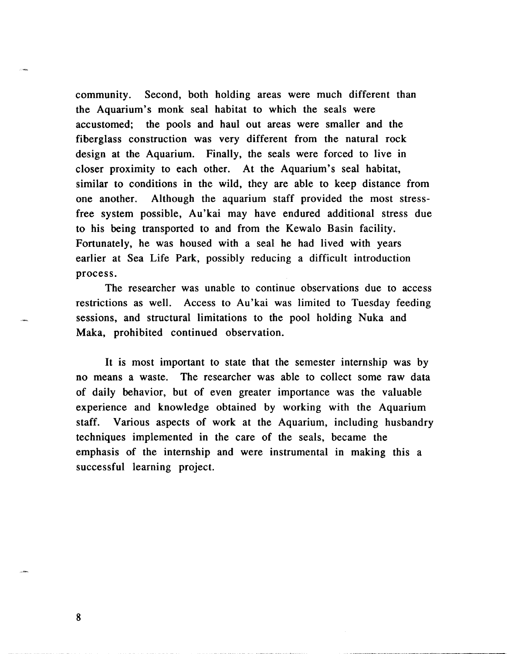community. Second, both holding areas were much different than the Aquarium's monk seal habitat to which the seals were accustomed; the pools and haul out areas were smaller and the fiberglass construction was very different from the natural rock design at the Aquarium. Finally, the seals were forced to live in closer proximity to each other. At the Aquarium's seal habitat, similar to conditions in the wild, they are able to keep distance from one another. Although the aquarium staff provided the most stressfree system possible, Au'kai may have endured additional stress due to his being transported to and from the Kewalo Basin facility. Fortunately, he was housed with a seal he had lived with years earlier at Sea Life Park, possibly reducing a difficult introduction process.

The researcher was unable to continue observations due to access restrictions as well. Access to Au'kai was limited to Tuesday feeding sessions, and structural limitations to the pool holding Nuka and Maka, prohibited continued observation.

It is most important to state that the semester internship was by no means a waste. The researcher was able to collect some raw data of daily behavior, but of even greater importance was the valuable experience and knowledge obtained by working with the Aquarium staff. Various aspects of work at the Aquarium, including husbandry techniques implemented in the care of the seals, became the emphasis of the internship and were instrumental in making this a successful learning project.

8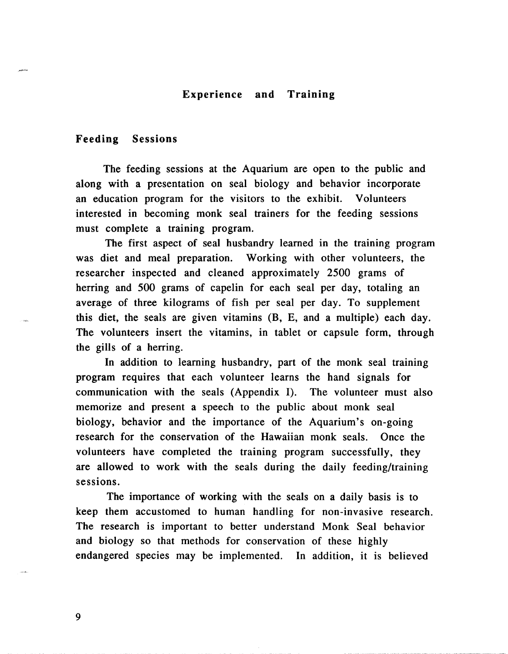#### **Experience and Training**

#### **Feeding Sessions**

The feeding sessions at the Aquarium are open to the public and along with a presentation on seal biology and behavior incorporate an education program for the visitors to the exhibit. Volunteers interested in becoming monk seal trainers for the feeding sessions must complete a training program.

The first aspect of seal husbandry learned in the training program was diet and meal preparation. Working with other volunteers, the researcher inspected and cleaned approximately 2500 grams of herring and 500 grams of capelin for each seal per day, totaling an average of three kilograms of fish per seal per day. To supplement this diet, the seals are given vitamins (B, E, and a multiple) each day. The volunteers insert the vitamins, in tablet or capsule form, through the gills of a herring.

In addition to learning husbandry, part of the monk seal training program requires that each volunteer learns the hand signals for communication with the seals (Appendix I). The volunteer must also memorize and present a speech to the public about monk seal biology, behavior and the importance of the Aquarium's on-going research for the conservation of the Hawaiian monk seals. Once the volunteers have completed the training program successfully, they are allowed to work with the seals during the daily feeding/training sessions.

The importance of working with the seals on a daily basis is to keep them accustomed to human handling for non-invasive research. The research is important to better understand Monk Seal behavior and biology so that methods for conservation of these highly endangered species may be implemented. In addition, it is believed

9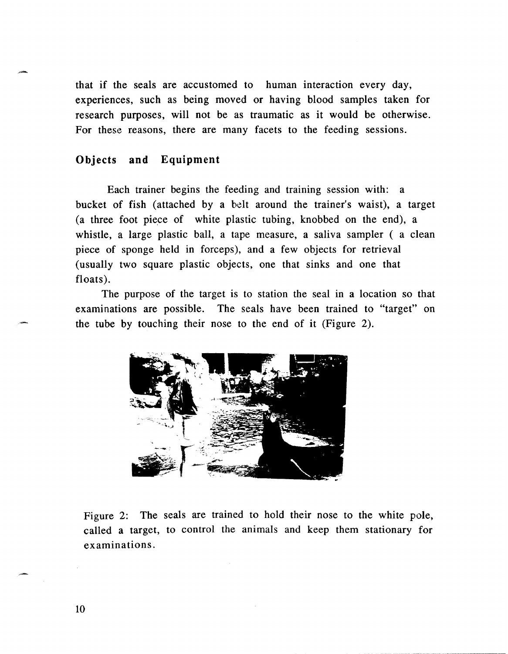that if the seals are accustomed to human interaction every day, experiences, such as being moved or having blood samples taken for research purposes, will not be as traumatic as it would be otherwise. For these reasons, there are many facets to the feeding sessions.

#### **Objects and Equipment**

Each trainer begins the feeding and training session with: a bucket of fish (attached by a belt around the trainer's waist), a target (a three foot piece of white plastic tubing, knobbed on the end), a whistle, a large plastic ball, a tape measure, a saliva sampler (a clean piece of sponge held in forceps), and a few objects for retrieval (usually two square plastic objects, one that sinks and one that floats).

The purpose of the target is to station the seal in a location so that examinations are possible. The seals have been trained to "target" on the tube by touching their nose to the end of it (Figure 2).



Figure 2: The seals are trained to hold their nose to the white pole, called a target, to control the animals and keep them stationary for examinations.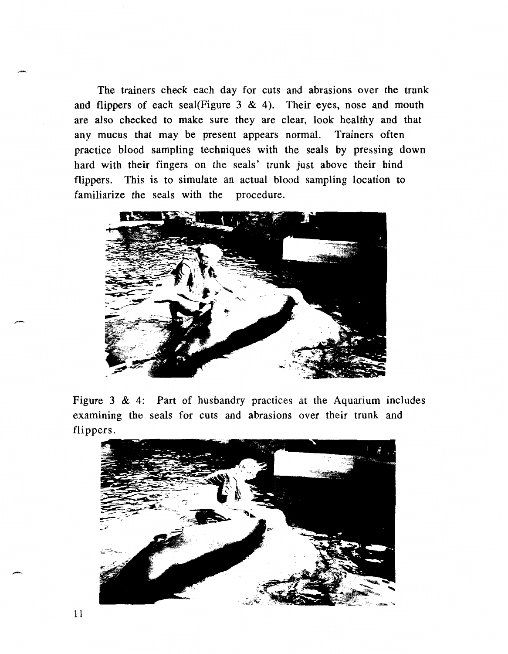The trainers check each day for cuts and abrasions over the trunk and flippers of each seal(Figure 3 & 4). Their eyes, nose and mouth are also checked to make sure they are clear, look healthy and that any mucus that may be present appears normal. Trainers often practice blood sampling techniques with the seals by pressing down hard with their fingers on the seals' trunk just above their hind flippers. This is to simulate an actual blood sampling location to familiarize the seals with the procedure.



Figure 3 & 4: Part of husbandry practices at the Aquarium includes examining the seals for cuts and abrasions over their trunk and flippers.

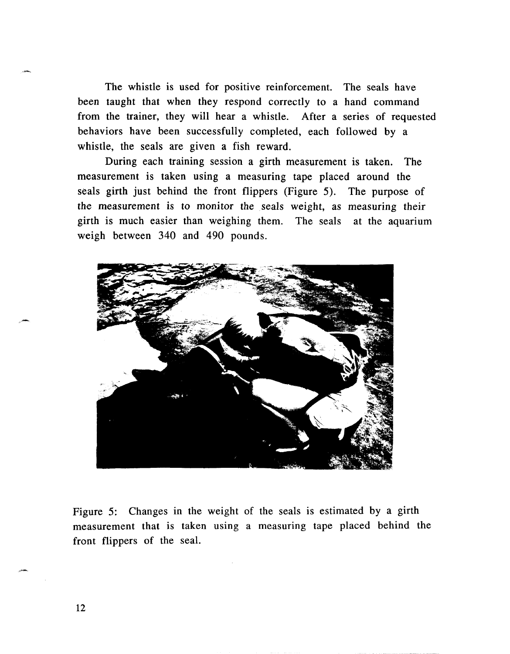The whistle is used for positive reinforcement. The seals have been taught that when they respond correctly to a hand command from the trainer, they will hear a whistle. After a series of requested behaviors have been successfully completed, each followed by a whistle, the seals are given a fish reward.

During each training session a girth measurement is taken. The measurement is taken using a measuring tape placed around the seals girth just behind the front flippers (Figure 5). The purpose of the measurement is to monitor the seals weight, as measuring their girth is much easier than weighing them. The seals at the aquarium weigh between 340 and 490 pounds.



Figure 5: Changes in the weight of the seals is estimated by a girth measurement that is taken using a measuring tape placed behind the front flippers of the seal.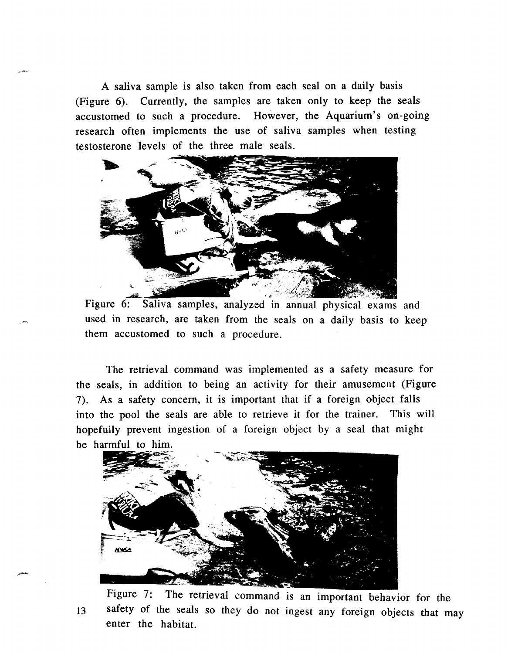A saliva sample is also taken from each seal on a daily basis (Figure *6).* Currently, the samples are taken only to keep the seals accustomed to such a procedure. However, the Aquarium's on-going research often implements the use of saliva samples when testing testosterone levels of the three male seals.



used in research, are taken from the seals on a daily basis to keep them accustomed to such a procedure.

The retrieval command was implemented as a safety measure for the seals, in addition to being an activity for their amusement (Figure 7). As a safety concern, it is important that if a foreign object falls into the pool the seals are able to retrieve it for the trainer. This will hopefully prevent ingestion of a foreign object by a seal that might be harmful to him.



Figure 7: The retrieval command is an important behavior for the **13** safety of the seals so they do not ingest any foreign objects that may enter the habitat.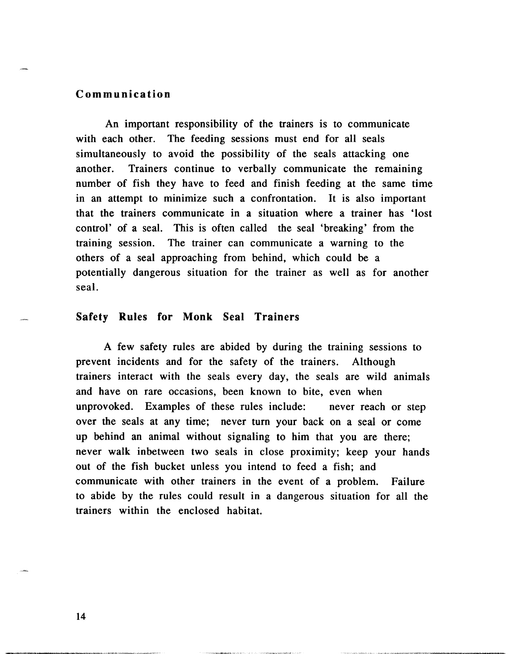#### **Communication**

An important responsibility of the trainers is to communicate with each other. The feeding sessions must end for all seals simultaneously to avoid the possibility of the seals attacking one another. Trainers continue to verbally communicate the remaining number of fish they have to feed and finish feeding at the same time in an attempt to minimize such a confrontation. It is also important that the trainers communicate in a situation where a trainer has 'lost control' of a seal. This is often called the seal 'breaking' from the training session. The trainer can communicate a warning to the others of a seal approaching from behind, which could be a potentially dangerous situation for the trainer as well as for another seal.

#### **Safety Rules for Monk Seal Trainers**

A few safety rules are abided by during the training sessions to prevent incidents and for the safety of the trainers. Although trainers interact with the seals every day, the seals are wild animals and have on rare occasions, been known to bite, even when unprovoked. Examples of these rules include: never reach or step over the seals at any time; never turn your back on a seal or come up behind an animal without signaling to him that you are there; never walk inbetween two seals in close proximity; keep your hands out of the fish bucket unless you intend to feed a fish; and communicate with other trainers in the event of a problem. Failure to abide by the rules could result in a dangerous situation for all the trainers within the enclosed habitat.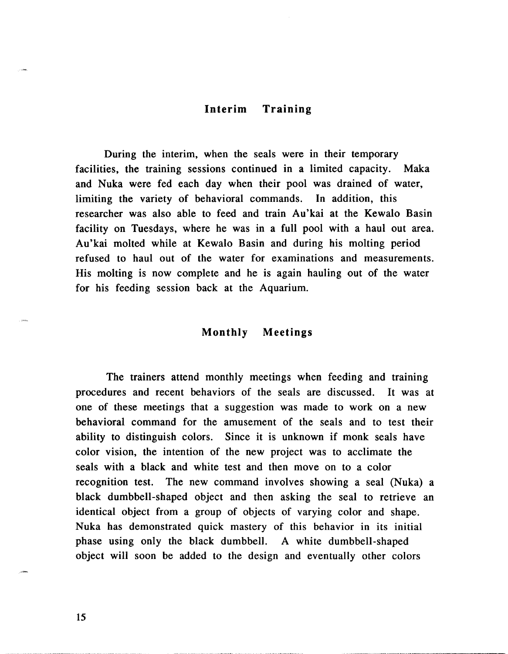#### **Interim Training**

During the interim, when the seals were in their temporary facilities, the training sessions continued in a limited capacity. Maka and Nuka were fed each day when their pool was drained of water, limiting the variety of behavioral commands. In addition, this researcher was also able to feed and train Au'kai at the Kewalo Basin facility on Tuesdays, where he was in a full pool with a haul out area. Au'kai molted while at Kewalo Basin and during his molting period refused to haul out of the water for examinations and measurements. His molting is now complete and he is again hauling out of the water for his feeding session back at the Aquarium.

#### **Monthly Meetings**

The trainers attend monthly meetings when feeding and training procedures and recent behaviors of the seals are discussed. It was at one of these meetings that a suggestion was made to work on a new behavioral command for the amusement of the seals and to test their ability to distinguish colors. Since it is unknown if monk seals have color vision, the intention of the new project was to acclimate the seals with a black and white test and then move on to a color recognition test. The new command involves showing a seal (Nuka) a black dumbbell-shaped object and then asking the seal to retrieve an identical object from a group of objects of varying color and shape. Nuka has demonstrated quick mastery of this behavior in its initial phase using only the black dumbbell. A white dumbbell-shaped object will soon be added to the design and eventually other colors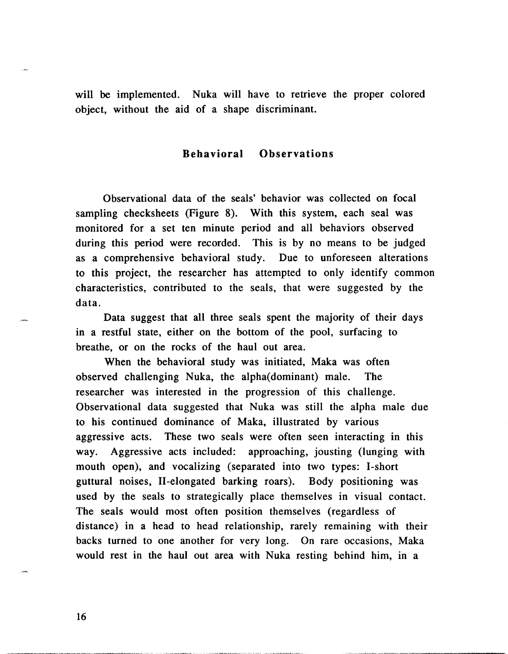will be implemented. Nuka will have to retrieve the proper colored object, without the aid of a shape discriminant.

#### **Behavioral Observations**

Observational data of the seals' behavior was collected on focal sampling checksheets (Figure 8). With this system, each seal was monitored for a set ten minute period and all behaviors observed during this period were recorded. This is by no means to be judged as a comprehensive behavioral study. Due to unforeseen alterations to this project, the researcher has attempted to only identify common characteristics, contributed to the seals, that were suggested by the data.

Data suggest that all three seals spent the majority of their days in a restful state, either on the bottom of the pool, surfacing to breathe, or on the rocks of the haul out area.

When the behavioral study was initiated, Maka was often observed challenging Nuka, the alpha(dominant) male. The researcher was interested in the progression of this challenge. Observational data suggested that Nuka was still the alpha male due to his continued dominance of Maka, illustrated by various aggressive acts. These two seals were often seen interacting in this way. Aggressive acts included: approaching, jousting (lunging with mouth open), and vocalizing (separated into two types: I-short guttural noises, 11-elongated barking roars). Body positioning was used by the seals to strategically place themselves in visual contact. The seals would most often position themselves (regardless of distance) in a head to head relationship, rarely remaining with their backs turned to one another for very long. On rare occasions, Maka would rest in the haul out area with Nuka resting behind him, in a

16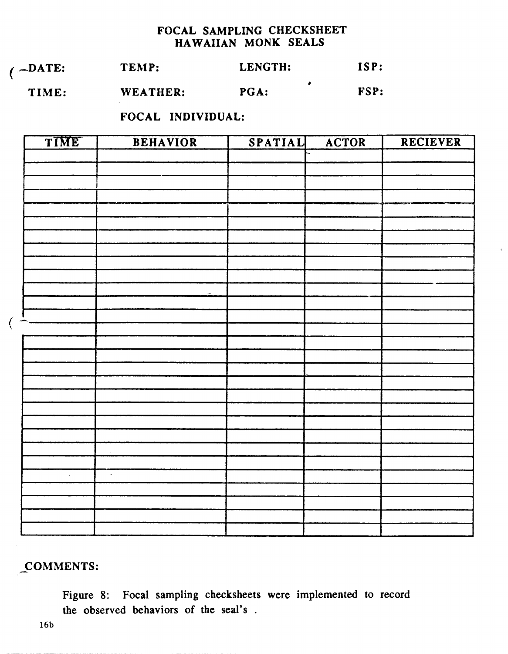## **FOCAL SAMPLING CHECKSHEET HAWAIIAN MONK SEALS**

| $\angle$ -DATE: | TEMP: | LENGTH: | ISP: |
|-----------------|-------|---------|------|
|                 |       |         |      |

 $\bullet$ **TIME: WEATHER: PGA: FSP:** 

**FOCAL INDIVIDUAL:** 

| TIME | <b>BEHAVIOR</b> | SPATIAL | ACTOR | RECIEVER |
|------|-----------------|---------|-------|----------|
|      |                 |         |       |          |
|      |                 |         |       |          |
|      |                 |         |       |          |
|      |                 |         |       |          |
|      |                 |         |       |          |
|      |                 |         |       |          |
|      |                 |         |       |          |
|      |                 |         |       |          |
|      |                 |         |       |          |
|      |                 |         |       |          |
|      |                 |         |       |          |
|      |                 |         |       |          |
|      |                 |         |       |          |
|      |                 |         |       |          |
|      |                 |         |       |          |
|      |                 |         |       |          |
|      |                 |         |       |          |
|      |                 |         |       |          |
|      |                 |         |       |          |
|      |                 |         |       |          |
|      |                 |         |       |          |
|      |                 |         |       |          |
|      |                 |         |       |          |
| ÷,   | $\bar{u}$       |         |       |          |
|      |                 |         |       |          |
|      |                 |         |       |          |
|      | $\omega$        |         |       |          |
|      |                 |         |       |          |

## **COMMENTS:**

**Figure 8: Focal sampling checksheets were implemented to record the observed behaviors of the seal's** .

 $\left($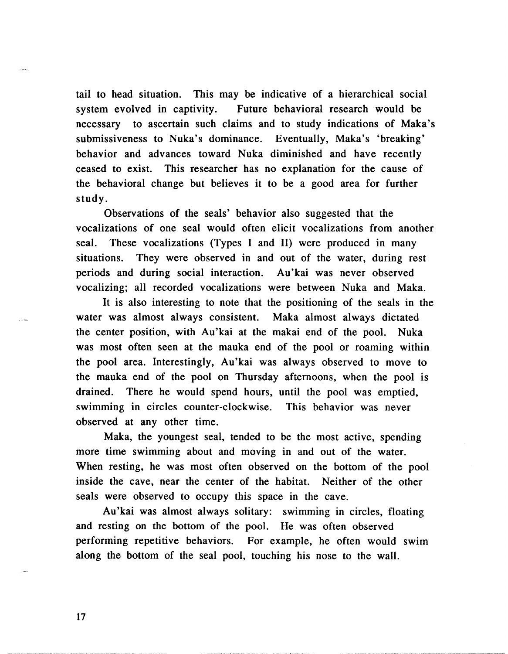tail to head situation. This may be indicative of a hierarchical social system evolved in captivity. Future behavioral research would be necessary to ascertain such claims and to study indications of Maka's submissiveness to Nuka's dominance. Eventually, Maka's 'breaking' behavior and advances toward Nuka diminished and have recently ceased to exist. This researcher has no explanation for the cause of the behavioral change but believes it to be a good area for further study.

Observations of the seals' behavior also suggested that the vocalizations of one seal would often elicit vocalizations from another seal. These vocalizations (Types I and 11) were produced in many situations. They were observed in and out of the water, during rest periods and during social interaction. Au'kai was never observed vocalizing; all recorded vocalizations were between Nuka and Maka.

It is also interesting to note that the positioning of the seals in the water was almost always consistent. Maka almost always dictated the center position, with Au'kai at the makai end of the pool. Nuka was most often seen at the mauka end of the pool or roaming within the pool area. Interestingly, Au'kai was always observed to move to the mauka end of the pool on Thursday afternoons, when the pool is drained. There he would spend hours, until the pool was emptied, swimming in circles counter-clockwise. This behavior was never observed at any other time.

Maka, the youngest seal, tended to be the most active, spending more time swimming about and moving in and out of the water. When resting, he was most often observed on the bottom of the pool inside the cave, near the center of the habitat. Neither of the other seals were observed to occupy this space in the cave.

Au'kai was almost always solitary: swimming in circles, floating and resting on the bottom of the pool. He was often observed performing repetitive behaviors. For example, he often would swim along the bottom of the seal pool, touching his nose to the wall.

17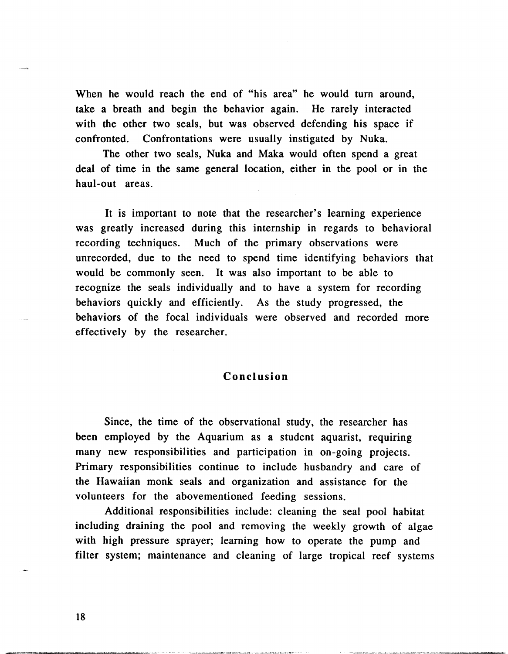When he would reach the end of "his area" he would turn around, take a breath and begin the behavior again. He rarely interacted with the other two seals, but was observed defending his space if confronted. Confrontations were usually instigated by Nuka.

The other two seals, Nuka and Maka would often spend a great deal of time in the same general location, either in the pool or in the haul-out areas.

It is important to note that the researcher's learning experience was greatly increased during this internship in regards to behavioral recording techniques. Much of the primary observations were unrecorded, due to the need to spend time identifying behaviors that would be commonly seen. It was also important to be able to recognize the seals individually and to have a system for recording behaviors quickly and efficiently. As the study progressed, the behaviors of the focal individuals were observed and recorded more effectively by the researcher.

#### **Conclusion**

Since, the time of the observational study, the researcher has been employed by the Aquarium as a student aquarist, requiring many new responsibilities and participation in on-going projects. Primary responsibilities continue to include husbandry and care of the Hawaiian monk seals and organization and assistance for the volunteers for the abovementioned feeding sessions.

Additional responsibilities include: cleaning the seal pool habitat including draining the pool and removing the weekly growth of algae with high pressure sprayer; learning how to operate the pump and filter system; maintenance and cleaning of large tropical reef systems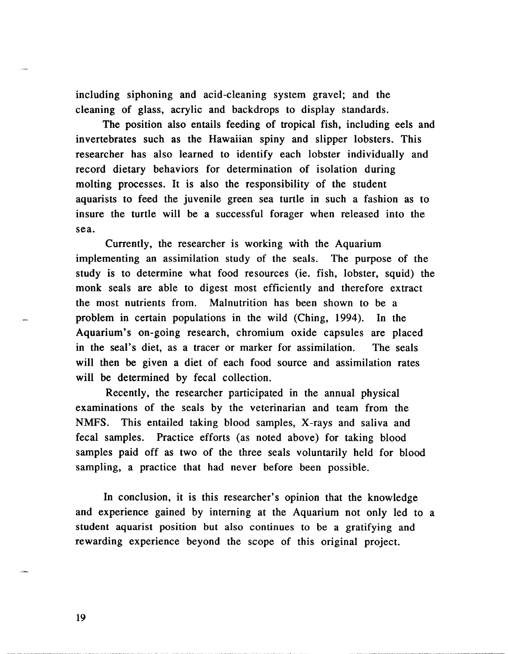including siphoning and acid-cleaning system gravel; and the cleaning of glass, acrylic and backdrops to display standards.

The position also entails feeding of tropical fish, including eels and invertebrates such as the Hawaiian spiny and slipper lobsters. This researcher has also learned to identify each lobster individually and record dietary behaviors for determination of isolation during molting processes. It is also the responsibility of the student aquarists to feed the juvenile green sea turtle in such a fashion as to insure the turtle will be a successful forager when released into the sea.

Currently, the researcher is working with the Aquarium implementing an assimilation study of the seals. The purpose of the study is to determine what food resources (ie. fish, lobster, squid) the monk seals are able to digest most efficiently and therefore extract the most nutrients from. Malnutrition has been shown to be a problem in certain populations in the wild (Ching, 1994). In the Aquarium's on-going research, chromium oxide capsules are placed in the seal's diet, as a tracer or marker for assimilation. The seals will then be given a diet of each food source and assimilation rates will be determined by fecal collection.

Recently, the researcher participated in the annual physical examinations of the seals by the veterinarian and team from the NMFS. This entailed taking blood samples, X-rays and saliva and fecal samples. Practice efforts (as noted above) for taking blood samples paid off as two of the three seals voluntarily held for blood sampling, a practice that had never before been possible.

In conclusion, it is this researcher's opinion that the knowledge and experience gained by interning at the Aquarium not only led to a student aquarist position but also continues to be a gratifying and rewarding experience beyond the scope of this original project.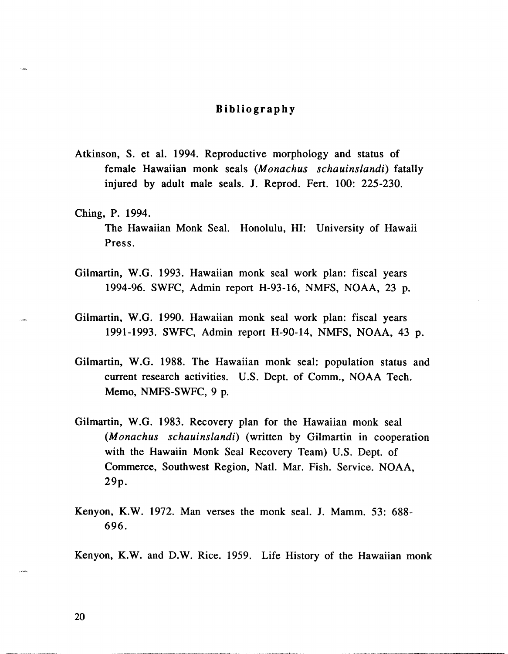#### **Bibliography**

- Atkinson, S. et al. 1994. Reproductive morphology and status of female Hawaiian monk seals (Monachus schauinslandi) fatally injured by adult male seals. J. Reprod. Fert. 100: 225-230.
- Ching, P. 1994. The Hawaiian Monk Seal. Honolulu, HI: University of Hawaii Press.
- Gilmartin, W.G. 1993. Hawaiian monk seal work plan: fiscal years 1994-96. SWFC, Admin report H-93-16, NMFS, NOAA, 23 p.
- Gilmartin, W.G. 1990. Hawaiian monk seal work plan: fiscal years 1991-1993. SWFC, Admin report H-90-14, NMFS, NOAA, 43 p.
- Gilmartin, W.G. 1988. The Hawaiian monk seal: population status and current research activities. U.S. Dept. of Comm., NOAA Tech. Memo, NMFS-SWFC, 9 p.
- Gilmartin, W.G. 1983. Recovery plan for the Hawaiian monk seal (Monachus schauinslandi) (written by Gilmartin in cooperation with the Hawaiin Monk Seal Recovery Team) U.S. Dept. of Commerce, Southwest Region, Natl. Mar. Fish. Service. NOAA, 29p.
- Kenyon, K.W. 1972. Man verses the monk seal. J. Mamm. 53: 688- 696.

Kenyon, K.W. and D.W. Rice. 1959. Life History of the Hawaiian monk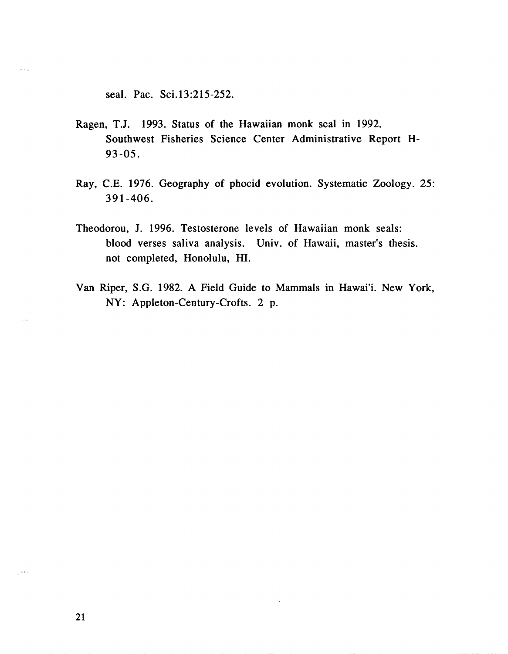seal. Pac. Sci.13:215-252.

- Ragen, T.J. 1993. Status of the Hawaiian monk seal in 1992. Southwest Fisheries Science Center Administrative Report **H-**93-05.
- Ray, C.E. 1976. Geography of phocid evolution. Systematic Zoology. 25: 391-406.
- Theodorou, J. 1996. Testosterone levels of Hawaiian monk seals: blood verses saliva analysis. Univ. of Hawaii, master's thesis. not completed, Honolulu, HI.
- Van Riper, S.G. 1982. A Field Guide to Mammals in Hawai'i. New York, NY: Appleton-Century-Crofts. 2 p.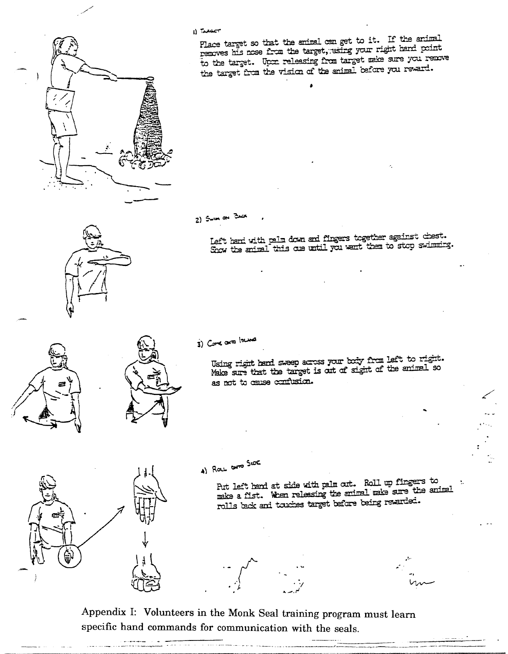

I) TARGET

Place target so that the animal can get to it. If the animal Place target so that the animal can get to have right hard point<br>removes his nose from the target, using your right hand point to the target. Upon releasing from target make sure you remove to the target. Opin remeasing from only on the versard.

 $2)$  Swith and Brack

 $\sim$  aft hard with calm down and fingers together again **left hand with palm down and fingers together against charge the animal this one until you want them to stop swirt** 



Using right hand sweep across your body from left to right. Using right hand sweep across your *utty* from the one and so as not to cause confusion.

4) Ray are SIDE

Put left hand at side with palm out. Roll up fingers to Put left hand at side with pain out. Noti up masses make a list. When remeasing the channel and rewarded.

Appendix I: Volunteers in the Monk Seal training program must learn specific hand commands for communication with the seals.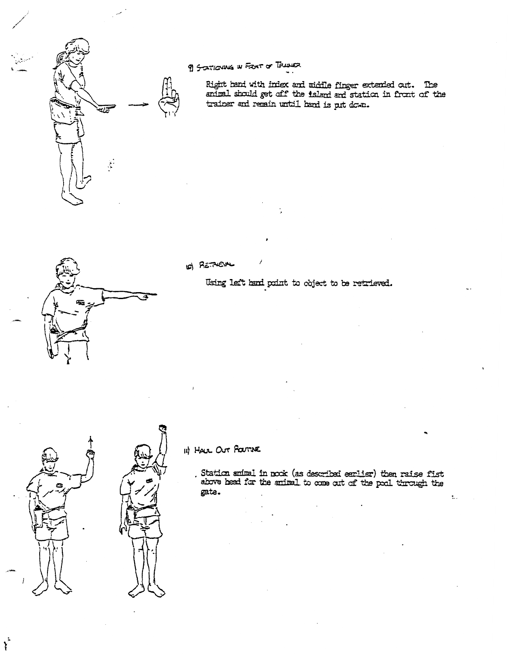

æ

9) SCATIONING IN FRONT OF TRADUCT

Right hand with index and middle finger extended out. The animal should get off the island and station in front of the trainer and remain until hand is put down.

O) RETAIN

Using left hand point to object to be retrieved.



 $\dot{r}$ 



II) HALL OUT POUTINE

Station smiral in nock (as described earlier) then raise fist<br>above head for the animal to come out of the pool through the gate.

 $\ddot{\cdot}$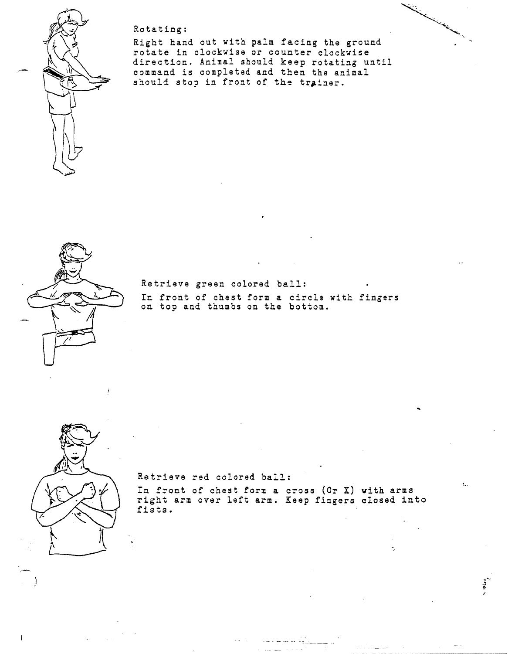

Rotating:

Right hand out with palm facing the ground rotate in clockvise or counter clockwise direction. Animal should keep rotating until command is completed and then the animal should stop in front of **ths** trainer.



Retrieve green colored **bzll:**  In front of chest form a circle with fingers on top and thumbs on the bottom.



Retrieve red colored ball:

In front of chest form a cross (Or X) **with** arms right arm over left arm. **Keep** fingers closed into fists.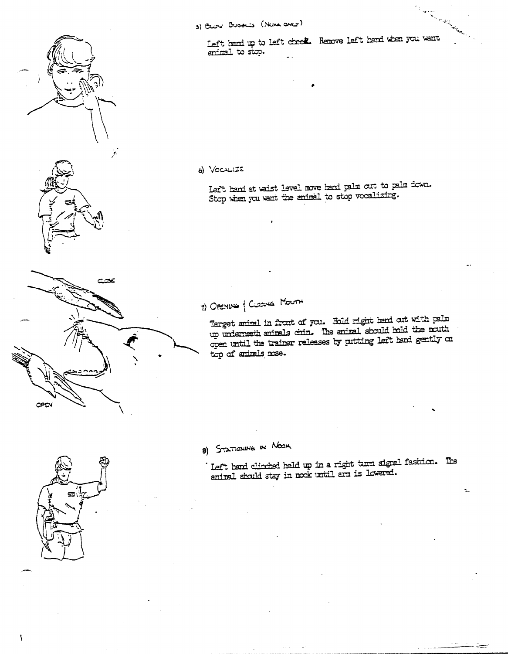

a Karakatan Left hand up to left cheek. Remove left hand when you want animal to stop.

6) VOCALIZE

Left hend at waist level move hend palm out to palm down. Stop when you want the animal to stop vocalizing.

7) OPENING | CLOSING MOUTH

Target animal in front of you. Hold right hard out with palm up underneath animals chin. The animal should hold the nouth open until the trainer releases by putting left hand gently on top of animals nose.

8) STATIONING IN NOOK

' Left bend clinched beld up in a right turn signal fashion. The<br>animal should stay in nook until arm is lowered.

Ľ.

÷



CPEV

 $\overline{\phantom{a}}$ 

عجت